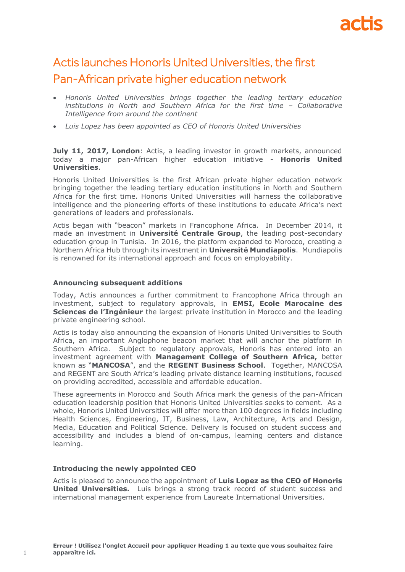# Actis launches Honoris United Universities, the first Pan-African private higher education network

- *Honoris United Universities brings together the leading tertiary education institutions in North and Southern Africa for the first time – Collaborative Intelligence from around the continent*
- *Luis Lopez has been appointed as CEO of Honoris United Universities*

**July 11, 2017, London**: Actis, a leading investor in growth markets, announced today a major pan-African higher education initiative - **Honoris United Universities**.

Honoris United Universities is the first African private higher education network bringing together the leading tertiary education institutions in North and Southern Africa for the first time. Honoris United Universities will harness the collaborative intelligence and the pioneering efforts of these institutions to educate Africa's next generations of leaders and professionals.

Actis began with "beacon" markets in Francophone Africa. In December 2014, it made an investment in **Université Centrale Group**, the leading post-secondary education group in Tunisia. In 2016, the platform expanded to Morocco, creating a Northern Africa Hub through its investment in **Université Mundiapolis**. Mundiapolis is renowned for its international approach and focus on employability.

### **Announcing subsequent additions**

Today, Actis announces a further commitment to Francophone Africa through an investment, subject to regulatory approvals, in **EMSI, Ecole Marocaine des Sciences de l'Ingénieur** the largest private institution in Morocco and the leading private engineering school.

Actis is today also announcing the expansion of Honoris United Universities to South Africa, an important Anglophone beacon market that will anchor the platform in Southern Africa. Subject to regulatory approvals, Honoris has entered into an investment agreement with **Management College of Southern Africa,** better known as "**MANCOSA**", and the **REGENT Business School**. Together, MANCOSA and REGENT are South Africa's leading private distance learning institutions, focused on providing accredited, accessible and affordable education.

These agreements in Morocco and South Africa mark the genesis of the pan-African education leadership position that Honoris United Universities seeks to cement. As a whole, Honoris United Universities will offer more than 100 degrees in fields including Health Sciences, Engineering, IT, Business, Law, Architecture, Arts and Design, Media, Education and Political Science. Delivery is focused on student success and accessibility and includes a blend of on-campus, learning centers and distance learning.

### **Introducing the newly appointed CEO**

Actis is pleased to announce the appointment of **Luis Lopez as the CEO of Honoris United Universities.** Luis brings a strong track record of student success and international management experience from Laureate International Universities.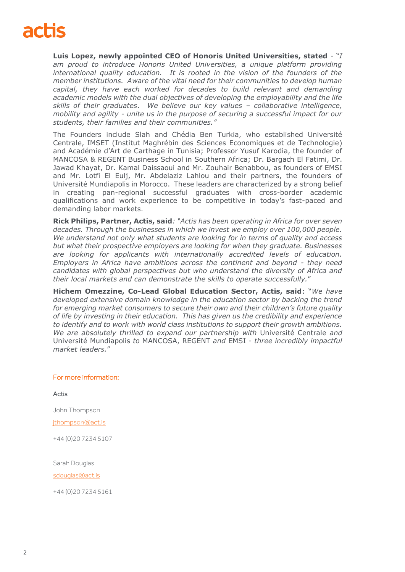**Luis Lopez, newly appointed CEO of Honoris United Universities, stated** - "*I*  am proud to introduce Honoris United Universities, a unique platform providing *international quality education. It is rooted in the vision of the founders of the member institutions. Aware of the vital need for their communities to develop human capital, they have each worked for decades to build relevant and demanding academic models with the dual objectives of developing the employability and the life skills of their graduates*. *We believe our key values – collaborative intelligence, mobility and agility - unite us in the purpose of securing a successful impact for our students, their families and their communities."*

The Founders include Slah and Chédia Ben Turkia, who established Université Centrale, IMSET (Institut Maghrébin des Sciences Economiques et de Technologie) and Académie d'Art de Carthage in Tunisia; Professor Yusuf Karodia, the founder of MANCOSA & REGENT Business School in Southern Africa; Dr. Bargach El Fatimi, Dr. Jawad Khayat, Dr. Kamal Daissaoui and Mr. Zouhair Benabbou, as founders of EMSI and Mr. Lotfi El Eulj, Mr. Abdelaziz Lahlou and their partners, the founders of Université Mundiapolis in Morocco. These leaders are characterized by a strong belief in creating pan-regional successful graduates with cross-border academic qualifications and work experience to be competitive in today's fast-paced and demanding labor markets.

**Rick Philips, Partner, Actis, said***: "Actis has been operating in Africa for over seven decades. Through the businesses in which we invest we employ over 100,000 people. We understand not only what students are looking for in terms of quality and access but what their prospective employers are looking for when they graduate. Businesses are looking for applicants with internationally accredited levels of education. Employers in Africa have ambitions across the continent and beyond - they need candidates with global perspectives but who understand the diversity of Africa and their local markets and can demonstrate the skills to operate successfully.*"

**Hichem Omezzine, Co-Lead Global Education Sector, Actis, said**: "*We have developed extensive domain knowledge in the education sector by backing the trend for emerging market consumers to secure their own and their children's future quality of life by investing in their education. This has given us the credibility and experience to identify and to work with world class institutions to support their growth ambitions. We are absolutely thrilled to expand our partnership with* Université Centrale *and*  Université Mundiapolis *to* MANCOSA, REGENT *and* EMSI *- three incredibly impactful market leaders.*"

### For more information:

Actis

John Thompson

jthompson@act.is

+44 (0)20 7234 5107

Sarah Douglas

[sdouglas@act.is](mailto:sdouglas@act.is)

+44 (0)20 7234 5161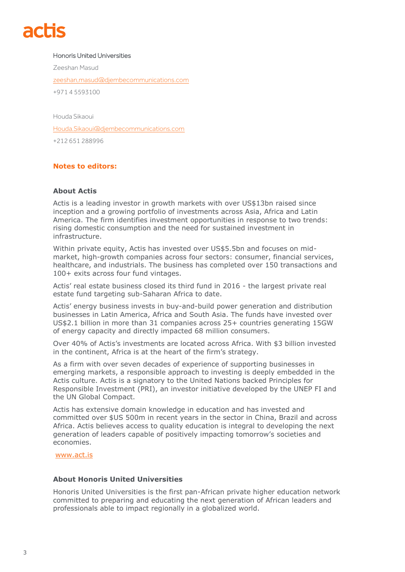# Honoris United Universities

Zeeshan Masud zeeshan,masud@djembecommunications.com +971 4 5593100

Houda Sikaoui [Houda.Sikaoui@djembecommunications.com](mailto:Houda.Sikaoui@djembecommunications.com) +212 651 288996

# **Notes to editors:**

## **About Actis**

Actis is a leading investor in growth markets with over US\$13bn raised since inception and a growing portfolio of investments across Asia, Africa and Latin America. The firm identifies investment opportunities in response to two trends: rising domestic consumption and the need for sustained investment in infrastructure.

Within private equity, Actis has invested over US\$5.5bn and focuses on midmarket, high-growth companies across four sectors: consumer, financial services, healthcare, and industrials. The business has completed over 150 transactions and 100+ exits across four fund vintages.

Actis' real estate business closed its third fund in 2016 - the largest private real estate fund targeting sub-Saharan Africa to date.

Actis' energy business invests in buy-and-build power generation and distribution businesses in Latin America, Africa and South Asia. The funds have invested over US\$2.1 billion in more than 31 companies across 25+ countries generating 15GW of energy capacity and directly impacted 68 million consumers.

Over 40% of Actis's investments are located across Africa. With \$3 billion invested in the continent, Africa is at the heart of the firm's strategy.

As a firm with over seven decades of experience of supporting businesses in emerging markets, a responsible approach to investing is deeply embedded in the Actis culture. Actis is a signatory to the United Nations backed Principles for Responsible Investment (PRI), an investor initiative developed by the UNEP FI and the UN Global Compact.

Actis has extensive domain knowledge in education and has invested and committed over \$US 500m in recent years in the sector in China, Brazil and across Africa. Actis believes access to quality education is integral to developing the next generation of leaders capable of positively impacting tomorrow's societies and economies.

[www.act.is](http://www.act.is/)

# **About Honoris United Universities**

Honoris United Universities is the first pan-African private higher education network committed to preparing and educating the next generation of African leaders and professionals able to impact regionally in a globalized world.